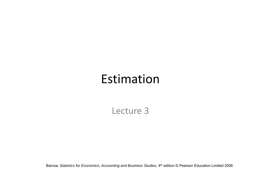# Estimation

Lecture 3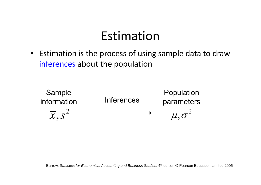## Estimation

• Estimation is the process of using sample data to draw inferences about the population

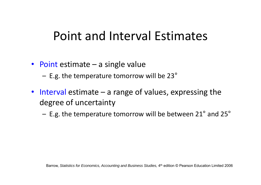# Point and Interval Estimates

- Point estimate a single value
	- – $-$  E.g. the temperature tomorrow will be 23 $^{\circ}$
- Interval estimate a range of values, expressing the degree of uncertainty
	- $-$  E.g. the temperature tomorrow will be between 21 $^{\circ}$  and 25 $^{\circ}$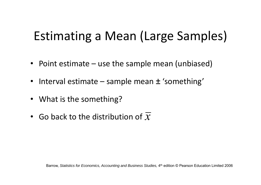# Estimating <sup>a</sup> Mean (Large Samples)

- Point estimate use the sample mean (unbiased)
- Interval estimate sample mean ± 'something'
- What is the something?
- Go back to the distribution of *x*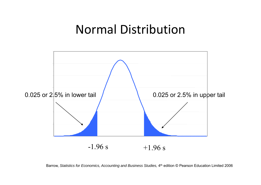## Normal Distribution



Barrow, *Statistics for Economics, Accounting and Business Studies,* 4<sup>th</sup> edition © Pearson Education Limited 2006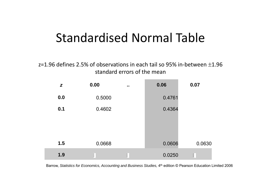# Standardised Normal Table

z=1.96 defines 2.5% of observations in each tail so 95% in-between  $\pm 1.96$ standard errors of the mean

| Z   | 0.00   | $\bullet$ $\bullet$ | 0.06   | 0.07     |
|-----|--------|---------------------|--------|----------|
| 0.0 | 0.5000 |                     | 0.4761 |          |
| 0.1 | 0.4602 |                     | 0.4364 |          |
|     |        |                     |        |          |
|     |        |                     |        |          |
| 1.5 | 0.0668 |                     | 0.0606 | 0.0630   |
| 1.9 | ۰      |                     | 0.0250 | $\vdots$ |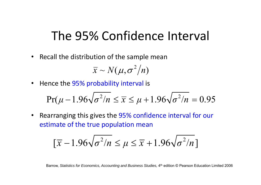# The 95% Confidence Interval

• Recall the distribution of the sample mean

 $\sim$  $\overline{x} \sim N(\mu, \sigma^2/n)$ 

• Hence the 95% probability interval is

$$
Pr(\mu - 1.96\sqrt{\sigma^2/n} \le \overline{x} \le \mu + 1.96\sqrt{\sigma^2/n} = 0.95
$$

• Rearranging this gives the 95% confidence interval for our  $\bullet$ estimate of the true population mean

$$
\left[\overline{x} - 1.96\sqrt{\sigma^2/n} \le \mu \le \overline{x} + 1.96\sqrt{\sigma^2/n}\right]
$$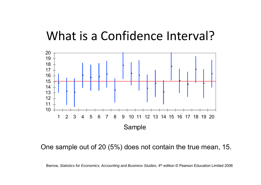### What is a Confidence Interval?



One sample out of 20 (5%) does not contain the true mean, 15.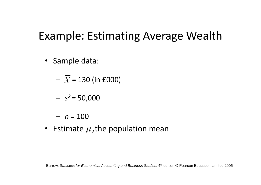## Example: Estimating Average Wealth

- Sample data:
	- $\,\mathcal{X}$  = 130 (in £000)

*<sup>s</sup><sup>2</sup> <sup>=</sup>* 50,000

– *n <sup>=</sup>* 100

• Estimate  $\mu$ , the population mean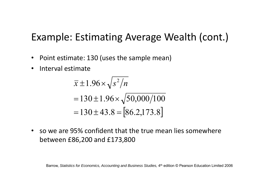#### Example: Estimating Average Wealth (cont.)

- Point estimate: 130 (uses the sample mean)
- $\bullet$ Interval estimate

$$
\overline{x} \pm 1.96 \times \sqrt{s^2/n}
$$
  
= 130 ± 1.96 ×  $\sqrt{50,000/100}$   
= 130 ± 43.8 = [86.2,173.8]

• so we are 95% confident that the true mean lies somewhere between £86,200 and £173,800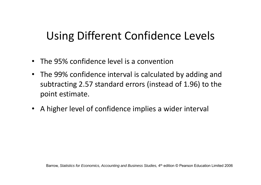## Using Different Confidence Levels

- The 95% confidence level is <sup>a</sup> convention
- The 99% confidence interval is calculated by adding and subtracting 2.57 standard errors (instead of 1.96) to the point estimate.
- A higher level of confidence implies <sup>a</sup> wider interval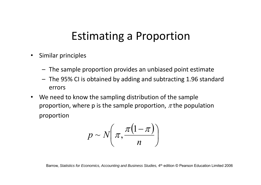### Estimating <sup>a</sup> Proportion

- • Similar principles
	- The sample proportion provides an unbiased point estimate
	- The 95% CI is obtained by adding and subtracting 1.96 standard errors
- We need to know the sampling distribution of the sample proportion, where p is the sample proportion,  $\pi$  the population proportion

$$
p \sim N\left(\pi, \frac{\pi(1-\pi)}{n}\right)
$$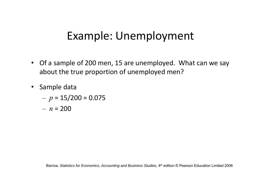## Example: Unemployment

- Of <sup>a</sup> sample of 200 men, 15 are unemployed. What can we say about the true proportion of unemployed men?
- Sample data

$$
- p = 15/200 = 0.075
$$

– *<sup>n</sup>* <sup>=</sup> 200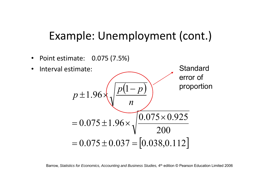#### Example: Unemployment (cont.)

•Point estimate: 0.075 (7.5%)

•

• Interval estimate Standard  $p \pm 1.96 \times \sqrt{p(1-p)}$ error of proportion *n*200 $0.075 \pm 1.96 \times$   $\underbrace{) 0.075 \times 0.925}_{0.075 \times 0.925}$  $= 0.075 \pm 1.96 \times \sqrt{\frac{0.075 \times}{1}}$  $\equiv$  $= 0.075 \pm 0.037 = [0.038, 0.112]$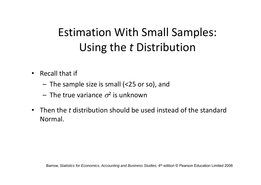# Estimation With Small Samples: Using the *<sup>t</sup>* Distribution

- $\cdot$  Recall that if
	- The sample size is small (<25 or so), and
	- $-$  The true variance  $\sigma^2$  is unknown
- Then the *t* distribution should be used instead of the standard Normal.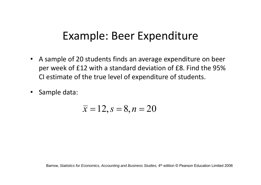#### Example: Beer Expenditure

- A sample of 20 students finds an average expenditure on beer per week of £12 with <sup>a</sup> standard deviation of £8. Find the 95% CI estimate of the true level of expenditure of students.
- $\bullet$ Sample data:

$$
\overline{x} = 12, s = 8, n = 20
$$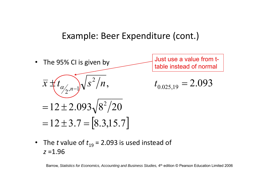#### Example: Beer Expenditure (cont.)



• The *t* value of  $t_{19}$  = 2.093 is used instead of *z* =1.96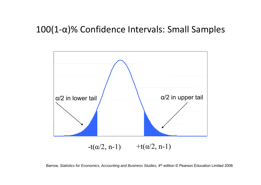#### 100(1‐α)% Confidence Intervals: Small Samples



Barrow, *Statistics for Economics, Accounting and Business Studies,* 4th edition © Pearson Education Limited 2006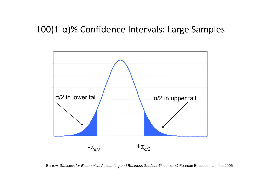#### 100(1‐α)% Confidence Intervals: Large Samples

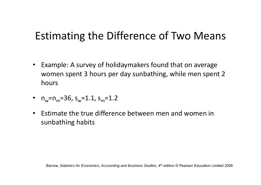### Estimating the Difference of Two Means

- Example: A survey of holidaymakers found that on average women spent 3 hours per day sunbathing, while men spent 2 hours
- $n_w$ = $n_m$ =36, s<sub>w</sub>=1.1, s<sub>m</sub>=1.2
- Estimate the true difference between men and women in sunbathing habits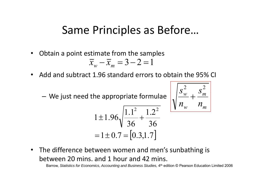#### Same Principles as Before…

•Obtain <sup>a</sup> point estimate from the samples

$$
\overline{x}_w - \overline{x}_m = 3 - 2 = 1
$$

- Add and subtract 1.96 standard errors to obtain the 95% CI
	- –We just need the appropriate formulae

$$
\sqrt{\frac{S_w^2}{n_w} + \frac{S_m^2}{n_m}}
$$

$$
1 \pm 1.96 \sqrt{\frac{1.1^2}{36} + \frac{1.2^2}{36}}
$$
  
= 1 \pm 0.7 = [0.3, 1.7]

• The difference between women and men's sunbathing is between 20 mins. and 1 hour and 42 mins.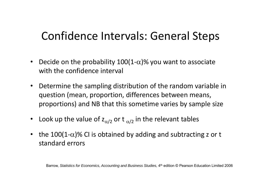## Confidence Intervals: General Steps

- $\bullet$ • Decide on the probability 100(1- $\alpha$ )% you want to associate with the confidence interval
- $\bullet$  Determine the sampling distribution of the random variable in question (mean, proportion, differences between means, proportions) and NB that this sometime varies by sample size
- Look up the value of  $z_{\alpha/2}$  or t  $_{\alpha/2}$  in the relevant tables
- the 100(1- $\alpha$ )% CI is obtained by adding and subtracting z or t standard errors